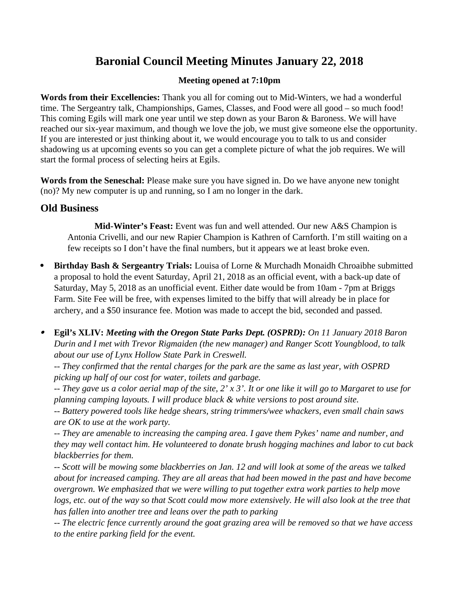# **Baronial Council Meeting Minutes January 22, 2018**

## **Meeting opened at 7:10pm**

**Words from their Excellencies:** Thank you all for coming out to Mid-Winters, we had a wonderful time. The Sergeantry talk, Championships, Games, Classes, and Food were all good – so much food! This coming Egils will mark one year until we step down as your Baron & Baroness. We will have reached our six-year maximum, and though we love the job, we must give someone else the opportunity. If you are interested or just thinking about it, we would encourage you to talk to us and consider shadowing us at upcoming events so you can get a complete picture of what the job requires. We will start the formal process of selecting heirs at Egils.

**Words from the Seneschal:** Please make sure you have signed in. Do we have anyone new tonight (no)? My new computer is up and running, so I am no longer in the dark.

## **Old Business**

**Mid-Winter's Feast:** Event was fun and well attended. Our new A&S Champion is Antonia Crivelli, and our new Rapier Champion is Kathren of Carnforth. I'm still waiting on a few receipts so I don't have the final numbers, but it appears we at least broke even.

- **Birthday Bash & Sergeantry Trials:** Louisa of Lorne & Murchadh Monaidh Chroaibhe submitted a proposal to hold the event Saturday, April 21, 2018 as an official event, with a back-up date of Saturday, May 5, 2018 as an unofficial event. Either date would be from 10am - 7pm at Briggs Farm. Site Fee will be free, with expenses limited to the biffy that will already be in place for archery, and a \$50 insurance fee. Motion was made to accept the bid, seconded and passed.
- . **Egil's XLIV:** *Meeting with the Oregon State Parks Dept. (OSPRD): On 11 January 2018 Baron Durin and I met with Trevor Rigmaiden (the new manager) and Ranger Scott Youngblood, to talk about our use of Lynx Hollow State Park in Creswell.*

*-- They confirmed that the rental charges for the park are the same as last year, with OSPRD picking up half of our cost for water, toilets and garbage.* 

*-- They gave us a color aerial map of the site, 2' x 3'. It or one like it will go to Margaret to use for planning camping layouts. I will produce black & white versions to post around site.*

*-- Battery powered tools like hedge shears, string trimmers/wee whackers, even small chain saws are OK to use at the work party.*

*-- They are amenable to increasing the camping area. I gave them Pykes' name and number, and they may well contact him. He volunteered to donate brush hogging machines and labor to cut back blackberries for them.* 

*-- Scott will be mowing some blackberries on Jan. 12 and will look at some of the areas we talked about for increased camping. They are all areas that had been mowed in the past and have become overgrown. We emphasized that we were willing to put together extra work parties to help move logs, etc. out of the way so that Scott could mow more extensively. He will also look at the tree that has fallen into another tree and leans over the path to parking*

*-- The electric fence currently around the goat grazing area will be removed so that we have access to the entire parking field for the event.*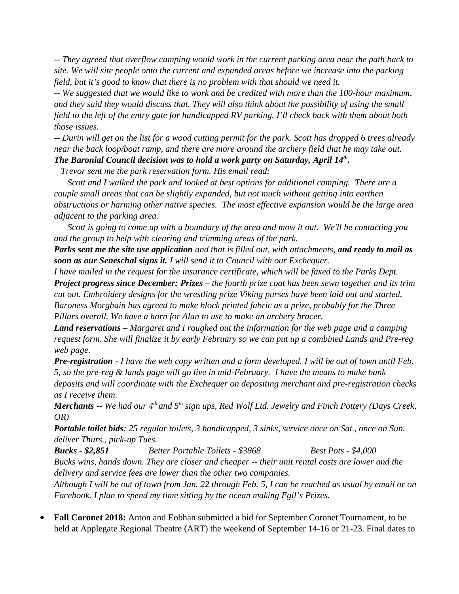*-- They agreed that overflow camping would work in the current parking area near the path back to site. We will site people onto the current and expanded areas before we increase into the parking field, but it's good to know that there is no problem with that should we need it.*

*-- We suggested that we would like to work and be credited with more than the 100-hour maximum, and they said they would discuss that. They will also think about the possibility of using the small field to the left of the entry gate for handicapped RV parking. I'll check back with them about both those issues.*

*-- Durin will get on the list for a wood cutting permit for the park. Scott has dropped 6 trees already near the back loop/boat ramp, and there are more around the archery field that he may take out. The Baronial Council decision was to hold a work party on Saturday, April 14th .*

 *Trevor sent me the park reservation form. His email read:*

*Scott and I walked the park and looked at best options for additional camping. There are a couple small areas that can be slightly expanded, but not much without getting into earthen obstructions or harming other native species. The most effective expansion would be the large area adjacent to the parking area.* 

*Scott is going to come up with a boundary of the area and mow it out. We'll be contacting you and the group to help with clearing and trimming areas of the park.*

*Parks sent me the site use application and that is filled out, with attachments, and ready to mail as soon as our Seneschal signs it. I will send it to Council with our Exchequer.*

*I have mailed in the request for the insurance certificate, which will be faxed to the Parks Dept. Project progress since December: Prizes – the fourth prize coat has been sewn together and its trim cut out. Embroidery designs for the wrestling prize Viking purses have been laid out and started. Baroness Morghain has agreed to make block printed fabric as a prize, probably for the Three Pillars overall. We have a horn for Alan to use to make an archery bracer.* 

*Land reservations – Margaret and I roughed out the information for the web page and a camping request form. She will finalize it by early February so we can put up a combined Lands and Pre-reg web page.*

*Pre-registration - I have the web copy written and a form developed. I will be out of town until Feb. 5, so the pre-reg & lands page will go live in mid-February. I have the means to make bank deposits and will coordinate with the Exchequer on depositing merchant and pre-registration checks as I receive them.* 

*Merchants -- We had our 4th and 5th sign ups, Red Wolf Ltd. Jewelry and Finch Pottery (Days Creek, OR)*

*Portable toilet bids: 25 regular toilets, 3 handicapped, 3 sinks, service once on Sat., once on Sun. deliver Thurs., pick-up Tues.*

*Bucks - \$2,851 Better Portable Toilets - \$3868 Best Pots - \$4,000 Bucks wins, hands down. They are closer and cheaper -- their unit rental costs are lower and the delivery and service fees are lower than the other two companies.*

*Although I will be out of town from Jan. 22 through Feb. 5, I can be reached as usual by email or on Facebook. I plan to spend my time sitting by the ocean making Egil's Prizes.*

 **Fall Coronet 2018:** Anton and Eobhan submitted a bid for September Coronet Tournament, to be held at Applegate Regional Theatre (ART) the weekend of September 14-16 or 21-23. Final dates to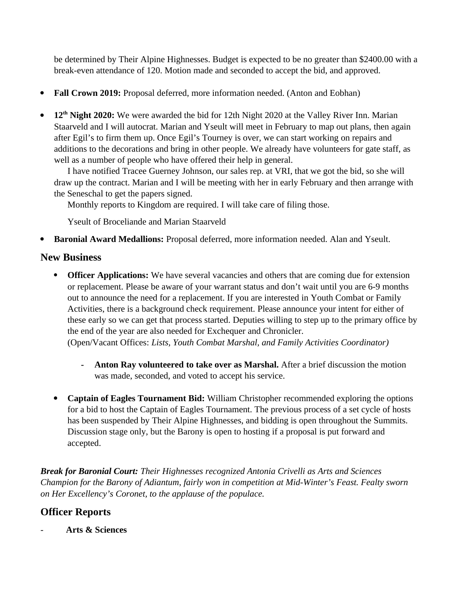be determined by Their Alpine Highnesses. Budget is expected to be no greater than \$2400.00 with a break-even attendance of 120. Motion made and seconded to accept the bid, and approved.

- **Fall Crown 2019:** Proposal deferred, more information needed. (Anton and Eobhan)
- **12th Night 2020:** We were awarded the bid for 12th Night 2020 at the Valley River Inn. Marian Staarveld and I will autocrat. Marian and Yseult will meet in February to map out plans, then again after Egil's to firm them up. Once Egil's Tourney is over, we can start working on repairs and additions to the decorations and bring in other people. We already have volunteers for gate staff, as well as a number of people who have offered their help in general.

I have notified Tracee Guerney Johnson, our sales rep. at VRI, that we got the bid, so she will draw up the contract. Marian and I will be meeting with her in early February and then arrange with the Seneschal to get the papers signed.

Monthly reports to Kingdom are required. I will take care of filing those.

Yseult of Broceliande and Marian Staarveld

**Baronial Award Medallions:** Proposal deferred, more information needed. Alan and Yseult.

## **New Business**

- **Officer Applications:** We have several vacancies and others that are coming due for extension or replacement. Please be aware of your warrant status and don't wait until you are 6-9 months out to announce the need for a replacement. If you are interested in Youth Combat or Family Activities, there is a background check requirement. Please announce your intent for either of these early so we can get that process started. Deputies willing to step up to the primary office by the end of the year are also needed for Exchequer and Chronicler. (Open/Vacant Offices: *Lists, Youth Combat Marshal, and Family Activities Coordinator)*
	- **- Anton Ray volunteered to take over as Marshal.** After a brief discussion the motion was made, seconded, and voted to accept his service.
- **Captain of Eagles Tournament Bid:** William Christopher recommended exploring the options for a bid to host the Captain of Eagles Tournament. The previous process of a set cycle of hosts has been suspended by Their Alpine Highnesses, and bidding is open throughout the Summits. Discussion stage only, but the Barony is open to hosting if a proposal is put forward and accepted.

*Break for Baronial Court: Their Highnesses recognized Antonia Crivelli as Arts and Sciences Champion for the Barony of Adiantum, fairly won in competition at Mid-Winter's Feast. Fealty sworn on Her Excellency's Coronet, to the applause of the populace.*

# **Officer Reports**

- **Arts & Sciences**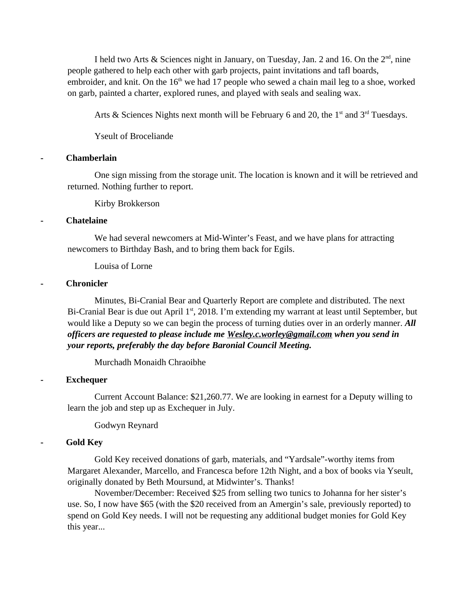I held two Arts & Sciences night in January, on Tuesday, Jan. 2 and 16. On the  $2<sup>nd</sup>$ , nine people gathered to help each other with garb projects, paint invitations and tafl boards, embroider, and knit. On the  $16<sup>th</sup>$  we had 17 people who sewed a chain mail leg to a shoe, worked on garb, painted a charter, explored runes, and played with seals and sealing wax.

Arts & Sciences Nights next month will be February 6 and 20, the  $1<sup>st</sup>$  and  $3<sup>rd</sup>$  Tuesdays.

Yseult of Broceliande

#### **- Chamberlain**

One sign missing from the storage unit. The location is known and it will be retrieved and returned. Nothing further to report.

Kirby Brokkerson

#### **- Chatelaine**

We had several newcomers at Mid-Winter's Feast, and we have plans for attracting newcomers to Birthday Bash, and to bring them back for Egils.

Louisa of Lorne

#### **- Chronicler**

Minutes, Bi-Cranial Bear and Quarterly Report are complete and distributed. The next Bi-Cranial Bear is due out April 1<sup>st</sup>, 2018. I'm extending my warrant at least until September, but would like a Deputy so we can begin the process of turning duties over in an orderly manner. *All officers are requested to please include me [Wesley.c.worley@gmail.com](mailto:Wesley.c.worley@gmail.com) when you send in your reports, preferably the day before Baronial Council Meeting.* 

Murchadh Monaidh Chraoibhe

## **- Exchequer**

Current Account Balance: \$21,260.77. We are looking in earnest for a Deputy willing to learn the job and step up as Exchequer in July.

Godwyn Reynard

## **- Gold Key**

Gold Key received donations of garb, materials, and "Yardsale"-worthy items from Margaret Alexander, Marcello, and Francesca before 12th Night, and a box of books via Yseult, originally donated by Beth Moursund, at Midwinter's. Thanks!

November/December: Received \$25 from selling two tunics to Johanna for her sister's use. So, I now have \$65 (with the \$20 received from an Amergin's sale, previously reported) to spend on Gold Key needs. I will not be requesting any additional budget monies for Gold Key this year...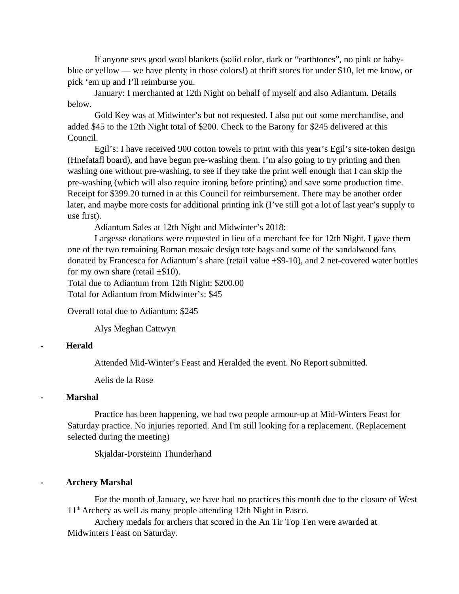If anyone sees good wool blankets (solid color, dark or "earthtones", no pink or babyblue or yellow — we have plenty in those colors!) at thrift stores for under \$10, let me know, or pick 'em up and I'll reimburse you.

January: I merchanted at 12th Night on behalf of myself and also Adiantum. Details below.

Gold Key was at Midwinter's but not requested. I also put out some merchandise, and added \$45 to the 12th Night total of \$200. Check to the Barony for \$245 delivered at this Council.

Egil's: I have received 900 cotton towels to print with this year's Egil's site-token design (Hnefatafl board), and have begun pre-washing them. I'm also going to try printing and then washing one without pre-washing, to see if they take the print well enough that I can skip the pre-washing (which will also require ironing before printing) and save some production time. Receipt for \$399.20 turned in at this Council for reimbursement. There may be another order later, and maybe more costs for additional printing ink (I've still got a lot of last year's supply to use first).

Adiantum Sales at 12th Night and Midwinter's 2018:

Largesse donations were requested in lieu of a merchant fee for 12th Night. I gave them one of the two remaining Roman mosaic design tote bags and some of the sandalwood fans donated by Francesca for Adiantum's share (retail value ±\$9-10), and 2 net-covered water bottles for my own share (retail  $\pm \$10$ ).

Total due to Adiantum from 12th Night: \$200.00 Total for Adiantum from Midwinter's: \$45

Overall total due to Adiantum: \$245

Alys Meghan Cattwyn

#### **- Herald**

Attended Mid-Winter's Feast and Heralded the event. No Report submitted.

Aelis de la Rose

## **- Marshal**

Practice has been happening, we had two people armour-up at Mid-Winters Feast for Saturday practice. No injuries reported. And I'm still looking for a replacement. (Replacement selected during the meeting)

Skjaldar-Þorsteinn Thunderhand

#### **- Archery Marshal**

For the month of January, we have had no practices this month due to the closure of West  $11<sup>th</sup>$  Archery as well as many people attending 12th Night in Pasco.

Archery medals for archers that scored in the An Tir Top Ten were awarded at Midwinters Feast on Saturday.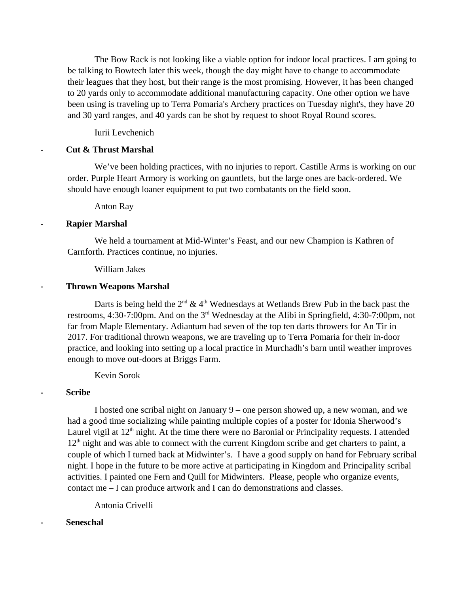The Bow Rack is not looking like a viable option for indoor local practices. I am going to be talking to Bowtech later this week, though the day might have to change to accommodate their leagues that they host, but their range is the most promising. However, it has been changed to 20 yards only to accommodate additional manufacturing capacity. One other option we have been using is traveling up to Terra Pomaria's Archery practices on Tuesday night's, they have 20 and 30 yard ranges, and 40 yards can be shot by request to shoot Royal Round scores.

Iurii Levchenich

## **- Cut & Thrust Marshal**

We've been holding practices, with no injuries to report. Castille Arms is working on our order. Purple Heart Armory is working on gauntlets, but the large ones are back-ordered. We should have enough loaner equipment to put two combatants on the field soon.

Anton Ray

#### **- Rapier Marshal**

We held a tournament at Mid-Winter's Feast, and our new Champion is Kathren of Carnforth. Practices continue, no injuries.

#### William Jakes

#### **- Thrown Weapons Marshal**

Darts is being held the  $2<sup>nd</sup>$  & 4<sup>th</sup> Wednesdays at Wetlands Brew Pub in the back past the restrooms, 4:30-7:00pm. And on the  $3<sup>rd</sup>$  Wednesday at the Alibi in Springfield, 4:30-7:00pm, not far from Maple Elementary. Adiantum had seven of the top ten darts throwers for An Tir in 2017. For traditional thrown weapons, we are traveling up to Terra Pomaria for their in-door practice, and looking into setting up a local practice in Murchadh's barn until weather improves enough to move out-doors at Briggs Farm.

Kevin Sorok

#### **- Scribe**

I hosted one scribal night on January 9 – one person showed up, a new woman, and we had a good time socializing while painting multiple copies of a poster for Idonia Sherwood's Laurel vigil at 12<sup>th</sup> night. At the time there were no Baronial or Principality requests. I attended  $12<sup>th</sup>$  night and was able to connect with the current Kingdom scribe and get charters to paint, a couple of which I turned back at Midwinter's. I have a good supply on hand for February scribal night. I hope in the future to be more active at participating in Kingdom and Principality scribal activities. I painted one Fern and Quill for Midwinters. Please, people who organize events, contact me – I can produce artwork and I can do demonstrations and classes.

Antonia Crivelli

#### **- Seneschal**